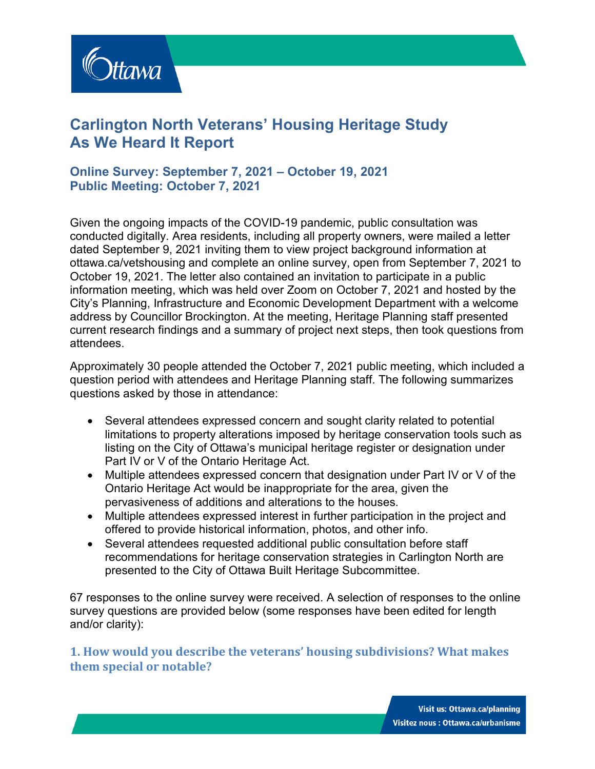

# **Carlington North Veterans' Housing Heritage Study As We Heard It Report**

## **Online Survey: September 7, 2021 – October 19, 2021 Public Meeting: October 7, 2021**

Given the ongoing impacts of the COVID-19 pandemic, public consultation was conducted digitally. Area residents, including all property owners, were mailed a letter dated September 9, 2021 inviting them to view project background information at [ottawa.ca/vetshousing](https://ottawa.ca/en/city-hall/public-engagement/projects/carlington-north-veterans-housing-heritage-study) and complete an online survey, open from September 7, 2021 to October 19, 2021. The letter also contained an invitation to participate in a public information meeting, which was held over Zoom on October 7, 2021 and hosted by the City's Planning, Infrastructure and Economic Development Department with a welcome address by Councillor Brockington. At the meeting, Heritage Planning staff presented current research findings and a summary of project next steps, then took questions from attendees.

Approximately 30 people attended the October 7, 2021 public meeting, which included a question period with attendees and Heritage Planning staff. The following summarizes questions asked by those in attendance:

- Several attendees expressed concern and sought clarity related to potential limitations to property alterations imposed by heritage conservation tools such as listing on the City of Ottawa's municipal heritage register or designation under Part IV or V of the Ontario Heritage Act.
- Multiple attendees expressed concern that designation under Part IV or V of the Ontario Heritage Act would be inappropriate for the area, given the pervasiveness of additions and alterations to the houses.
- Multiple attendees expressed interest in further participation in the project and offered to provide historical information, photos, and other info.
- Several attendees requested additional public consultation before staff recommendations for heritage conservation strategies in Carlington North are presented to the City of Ottawa Built Heritage Subcommittee.

67 responses to the online survey were received. A selection of responses to the online survey questions are provided below (some responses have been edited for length and/or clarity):

**1. How would you describe the veterans' housing subdivisions? What makes them special or notable?**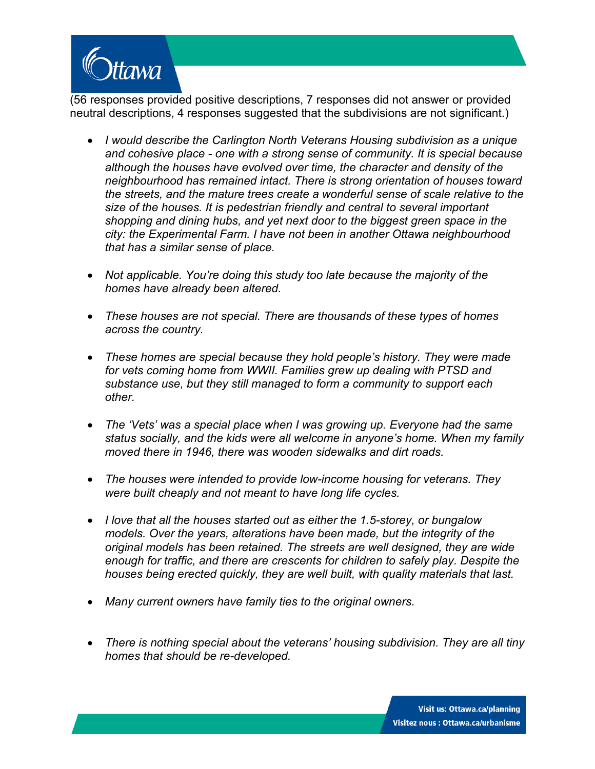

(56 responses provided positive descriptions, 7 responses did not answer or provided neutral descriptions, 4 responses suggested that the subdivisions are not significant.)

- *I would describe the Carlington North Veterans Housing subdivision as a unique and cohesive place - one with a strong sense of community. It is special because although the houses have evolved over time, the character and density of the neighbourhood has remained intact. There is strong orientation of houses toward the streets, and the mature trees create a wonderful sense of scale relative to the size of the houses. It is pedestrian friendly and central to several important shopping and dining hubs, and yet next door to the biggest green space in the city: the Experimental Farm. I have not been in another Ottawa neighbourhood that has a similar sense of place.*
- *Not applicable. You're doing this study too late because the majority of the homes have already been altered.*
- *These houses are not special. There are thousands of these types of homes across the country.*
- *These homes are special because they hold people's history. They were made for vets coming home from WWII. Families grew up dealing with PTSD and substance use, but they still managed to form a community to support each other.*
- *The 'Vets' was a special place when I was growing up. Everyone had the same status socially, and the kids were all welcome in anyone's home. When my family moved there in 1946, there was wooden sidewalks and dirt roads.*
- *The houses were intended to provide low-income housing for veterans. They were built cheaply and not meant to have long life cycles.*
- *I love that all the houses started out as either the 1.5-storey, or bungalow models. Over the years, alterations have been made, but the integrity of the original models has been retained. The streets are well designed, they are wide enough for traffic, and there are crescents for children to safely play. Despite the houses being erected quickly, they are well built, with quality materials that last.*
- *Many current owners have family ties to the original owners.*
- *There is nothing special about the veterans' housing subdivision. They are all tiny homes that should be re-developed.*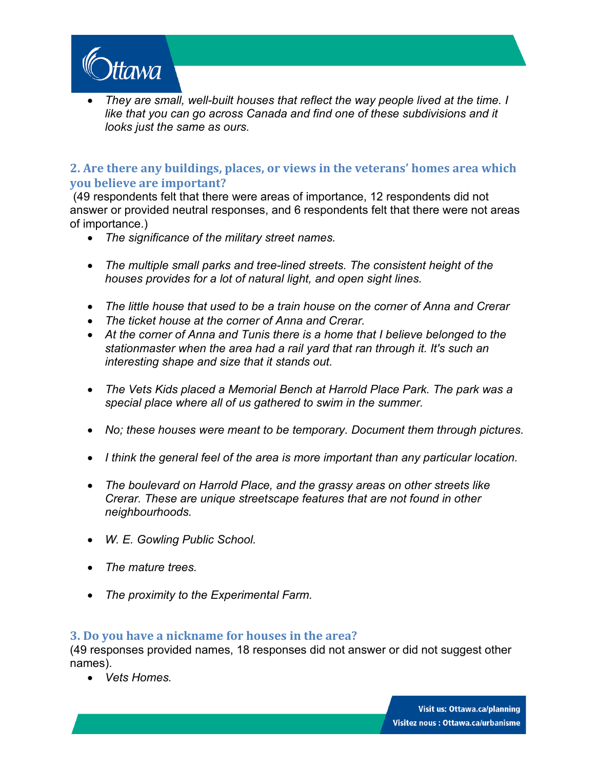

• *They are small, well-built houses that reflect the way people lived at the time. I like that you can go across Canada and find one of these subdivisions and it looks just the same as ours.*

#### **2. Are there any buildings, places, or views in the veterans' homes area which you believe are important?**

 (49 respondents felt that there were areas of importance, 12 respondents did not answer or provided neutral responses, and 6 respondents felt that there were not areas of importance.)

- *The significance of the military street names.*
- *The multiple small parks and tree-lined streets. The consistent height of the houses provides for a lot of natural light, and open sight lines.*
- *The little house that used to be a train house on the corner of Anna and Crerar*
- *The ticket house at the corner of Anna and Crerar.*
- *At the corner of Anna and Tunis there is a home that I believe belonged to the stationmaster when the area had a rail yard that ran through it. It's such an interesting shape and size that it stands out.*
- The Vets Kids placed a Memorial Bench at Harrold Place Park. The park was a *special place where all of us gathered to swim in the summer.*
- *No; these houses were meant to be temporary. Document them through pictures.*
- *I think the general feel of the area is more important than any particular location.*
- *The boulevard on Harrold Place, and the grassy areas on other streets like Crerar. These are unique streetscape features that are not found in other neighbourhoods.*
- *W. E. Gowling Public School.*
- *The mature trees.*
- *The proximity to the Experimental Farm.*

#### **3. Do you have a nickname for houses in the area?**

(49 responses provided names, 18 responses did not answer or did not suggest other names).

• *Vets Homes.*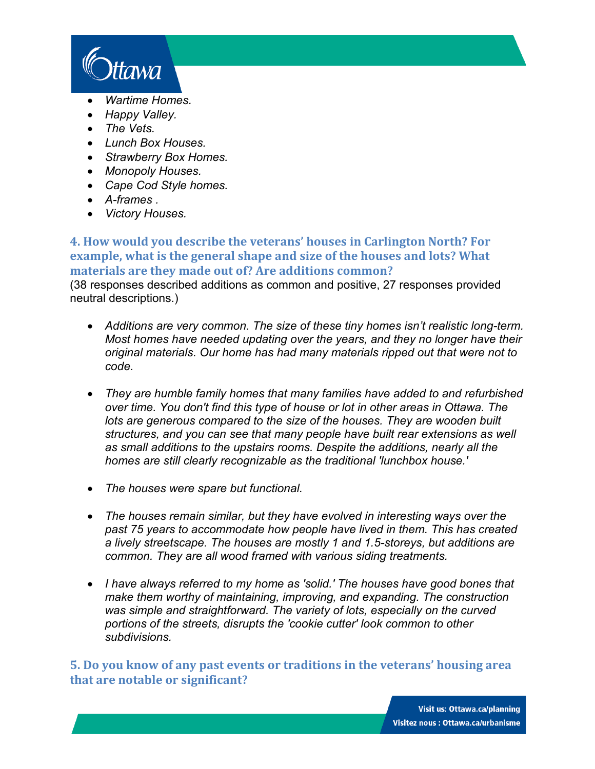

- *Wartime Homes.*
- *Happy Valley.*
- *The Vets.*
- *Lunch Box Houses.*
- *Strawberry Box Homes.*
- *Monopoly Houses.*
- *Cape Cod Style homes.*
- *A-frames .*
- *Victory Houses.*

**4. How would you describe the veterans' houses in Carlington North? For example, what is the general shape and size of the houses and lots? What materials are they made out of? Are additions common?** (38 responses described additions as common and positive, 27 responses provided neutral descriptions.)

- *Additions are very common. The size of these tiny homes isn't realistic long-term. Most homes have needed updating over the years, and they no longer have their original materials. Our home has had many materials ripped out that were not to code.*
- *They are humble family homes that many families have added to and refurbished over time. You don't find this type of house or lot in other areas in Ottawa. The lots are generous compared to the size of the houses. They are wooden built structures, and you can see that many people have built rear extensions as well as small additions to the upstairs rooms. Despite the additions, nearly all the homes are still clearly recognizable as the traditional 'lunchbox house.'*
- *The houses were spare but functional.*
- *The houses remain similar, but they have evolved in interesting ways over the past 75 years to accommodate how people have lived in them. This has created a lively streetscape. The houses are mostly 1 and 1.5-storeys, but additions are common. They are all wood framed with various siding treatments.*
- *I have always referred to my home as 'solid.' The houses have good bones that make them worthy of maintaining, improving, and expanding. The construction*  was simple and straightforward. The variety of lots, especially on the curved *portions of the streets, disrupts the 'cookie cutter' look common to other subdivisions.*

**5. Do you know of any past events or traditions in the veterans' housing area that are notable or significant?**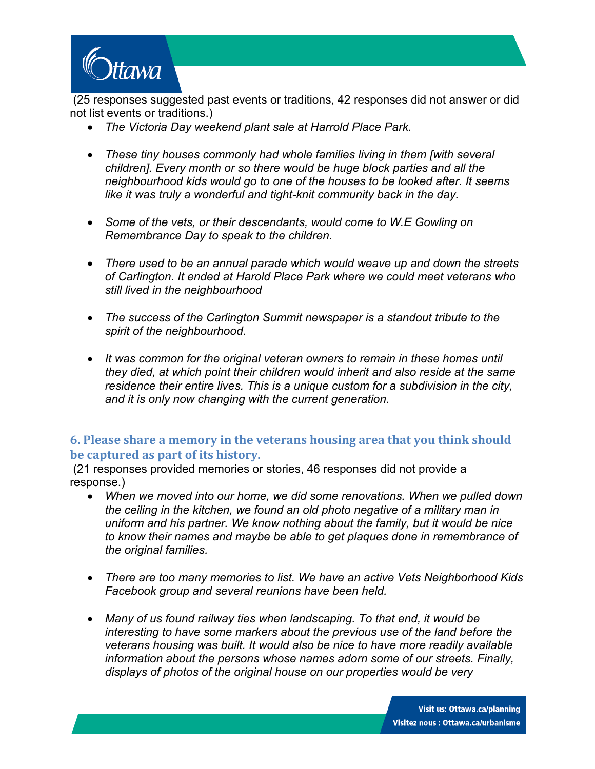

(25 responses suggested past events or traditions, 42 responses did not answer or did not list events or traditions.)

- *The Victoria Day weekend plant sale at Harrold Place Park.*
- *These tiny houses commonly had whole families living in them [with several children]. Every month or so there would be huge block parties and all the neighbourhood kids would go to one of the houses to be looked after. It seems like it was truly a wonderful and tight-knit community back in the day.*
- *Some of the vets, or their descendants, would come to W.E Gowling on Remembrance Day to speak to the children.*
- *There used to be an annual parade which would weave up and down the streets of Carlington. It ended at Harold Place Park where we could meet veterans who still lived in the neighbourhood*
- *The success of the Carlington Summit newspaper is a standout tribute to the spirit of the neighbourhood.*
- *It was common for the original veteran owners to remain in these homes until they died, at which point their children would inherit and also reside at the same residence their entire lives. This is a unique custom for a subdivision in the city, and it is only now changing with the current generation.*

## **6. Please share a memory in the veterans housing area that you think should be captured as part of its history.**

(21 responses provided memories or stories, 46 responses did not provide a response.)

- *When we moved into our home, we did some renovations. When we pulled down the ceiling in the kitchen, we found an old photo negative of a military man in uniform and his partner. We know nothing about the family, but it would be nice to know their names and maybe be able to get plaques done in remembrance of the original families.*
- *There are too many memories to list. We have an active Vets Neighborhood Kids Facebook group and several reunions have been held.*
- *Many of us found railway ties when landscaping. To that end, it would be interesting to have some markers about the previous use of the land before the veterans housing was built. It would also be nice to have more readily available information about the persons whose names adorn some of our streets. Finally, displays of photos of the original house on our properties would be very*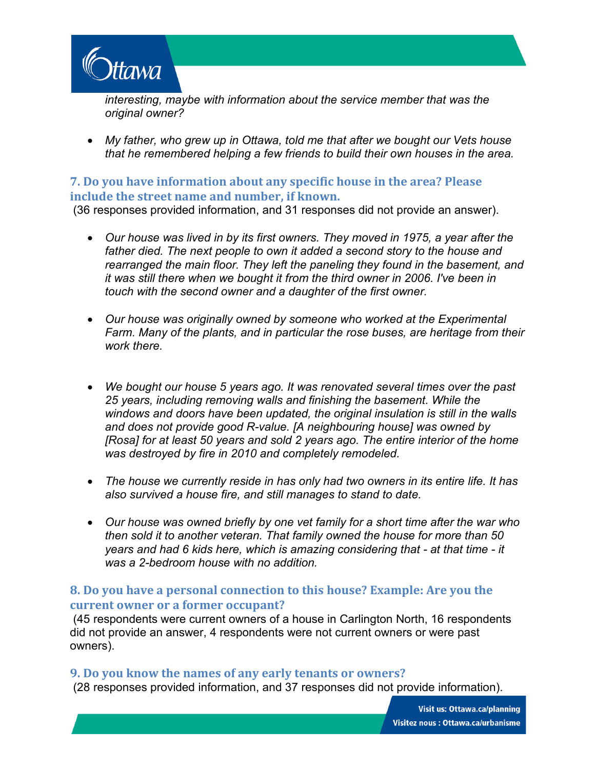

*interesting, maybe with information about the service member that was the original owner?* 

• *My father, who grew up in Ottawa, told me that after we bought our Vets house that he remembered helping a few friends to build their own houses in the area.* 

## **7. Do you have information about any specific house in the area? Please include the street name and number, if known.**

(36 responses provided information, and 31 responses did not provide an answer).

- *Our house was lived in by its first owners. They moved in 1975, a year after the father died. The next people to own it added a second story to the house and rearranged the main floor. They left the paneling they found in the basement, and it was still there when we bought it from the third owner in 2006. I've been in touch with the second owner and a daughter of the first owner.*
- *Our house was originally owned by someone who worked at the Experimental Farm. Many of the plants, and in particular the rose buses, are heritage from their work there.*
- *We bought our house 5 years ago. It was renovated several times over the past 25 years, including removing walls and finishing the basement. While the windows and doors have been updated, the original insulation is still in the walls and does not provide good R-value. [A neighbouring house] was owned by [Rosa] for at least 50 years and sold 2 years ago. The entire interior of the home was destroyed by fire in 2010 and completely remodeled.*
- *The house we currently reside in has only had two owners in its entire life. It has also survived a house fire, and still manages to stand to date.*
- *Our house was owned briefly by one vet family for a short time after the war who then sold it to another veteran. That family owned the house for more than 50 years and had 6 kids here, which is amazing considering that - at that time - it was a 2-bedroom house with no addition.*

#### **8. Do you have a personal connection to this house? Example: Are you the current owner or a former occupant?**

(45 respondents were current owners of a house in Carlington North, 16 respondents did not provide an answer, 4 respondents were not current owners or were past owners).

#### **9. Do you know the names of any early tenants or owners?**

(28 responses provided information, and 37 responses did not provide information).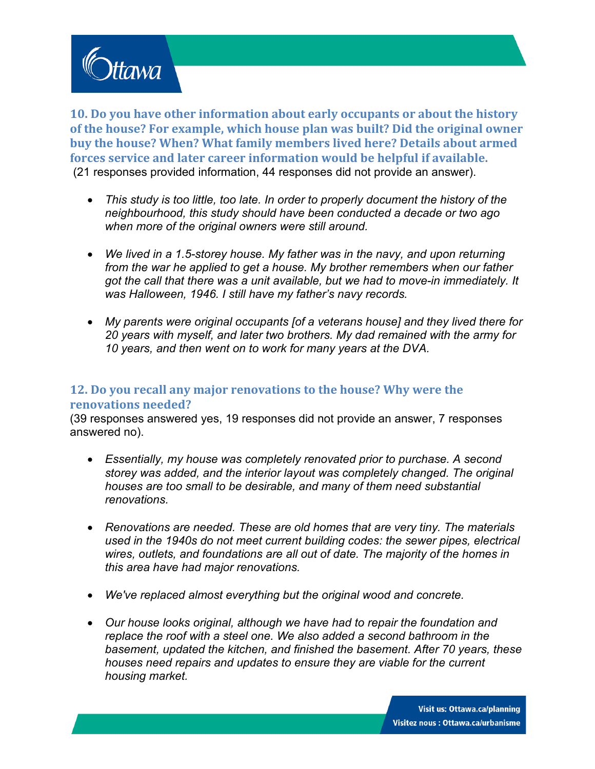

**10. Do you have other information about early occupants or about the history of the house? For example, which house plan was built? Did the original owner buy the house? When? What family members lived here? Details about armed forces service and later career information would be helpful if available.** (21 responses provided information, 44 responses did not provide an answer).

- *This study is too little, too late. In order to properly document the history of the neighbourhood, this study should have been conducted a decade or two ago when more of the original owners were still around.*
- *We lived in a 1.5-storey house. My father was in the navy, and upon returning from the war he applied to get a house. My brother remembers when our father got the call that there was a unit available, but we had to move-in immediately. It was Halloween, 1946. I still have my father's navy records.*
- *My parents were original occupants [of a veterans house] and they lived there for 20 years with myself, and later two brothers. My dad remained with the army for 10 years, and then went on to work for many years at the DVA.*

## **12. Do you recall any major renovations to the house? Why were the renovations needed?**

(39 responses answered yes, 19 responses did not provide an answer, 7 responses answered no).

- *Essentially, my house was completely renovated prior to purchase. A second storey was added, and the interior layout was completely changed. The original houses are too small to be desirable, and many of them need substantial renovations.*
- *Renovations are needed. These are old homes that are very tiny. The materials used in the 1940s do not meet current building codes: the sewer pipes, electrical wires, outlets, and foundations are all out of date. The majority of the homes in this area have had major renovations.*
- *We've replaced almost everything but the original wood and concrete.*
- *Our house looks original, although we have had to repair the foundation and replace the roof with a steel one. We also added a second bathroom in the basement, updated the kitchen, and finished the basement. After 70 years, these houses need repairs and updates to ensure they are viable for the current housing market.*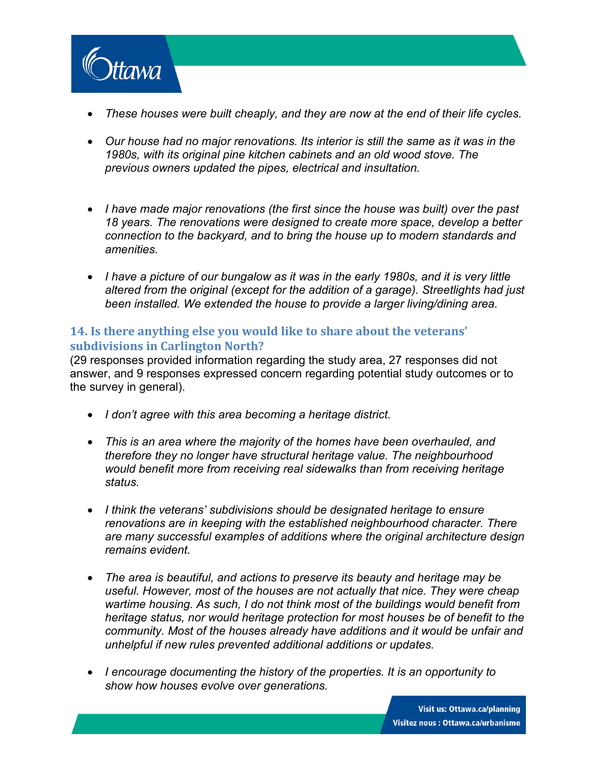

- *These houses were built cheaply, and they are now at the end of their life cycles.*
- *Our house had no major renovations. Its interior is still the same as it was in the 1980s, with its original pine kitchen cabinets and an old wood stove. The previous owners updated the pipes, electrical and insultation.*
- *I have made major renovations (the first since the house was built) over the past 18 years. The renovations were designed to create more space, develop a better connection to the backyard, and to bring the house up to modern standards and amenities.*
- *I have a picture of our bungalow as it was in the early 1980s, and it is very little altered from the original (except for the addition of a garage). Streetlights had just been installed. We extended the house to provide a larger living/dining area.*

## **14. Is there anything else you would like to share about the veterans' subdivisions in Carlington North?**

(29 responses provided information regarding the study area, 27 responses did not answer, and 9 responses expressed concern regarding potential study outcomes or to the survey in general).

- *I don't agree with this area becoming a heritage district.*
- *This is an area where the majority of the homes have been overhauled, and therefore they no longer have structural heritage value. The neighbourhood would benefit more from receiving real sidewalks than from receiving heritage status.*
- *I think the veterans' subdivisions should be designated heritage to ensure renovations are in keeping with the established neighbourhood character. There are many successful examples of additions where the original architecture design remains evident.*
- *The area is beautiful, and actions to preserve its beauty and heritage may be useful. However, most of the houses are not actually that nice. They were cheap wartime housing. As such, I do not think most of the buildings would benefit from heritage status, nor would heritage protection for most houses be of benefit to the community. Most of the houses already have additions and it would be unfair and unhelpful if new rules prevented additional additions or updates.*
- *I encourage documenting the history of the properties. It is an opportunity to show how houses evolve over generations.*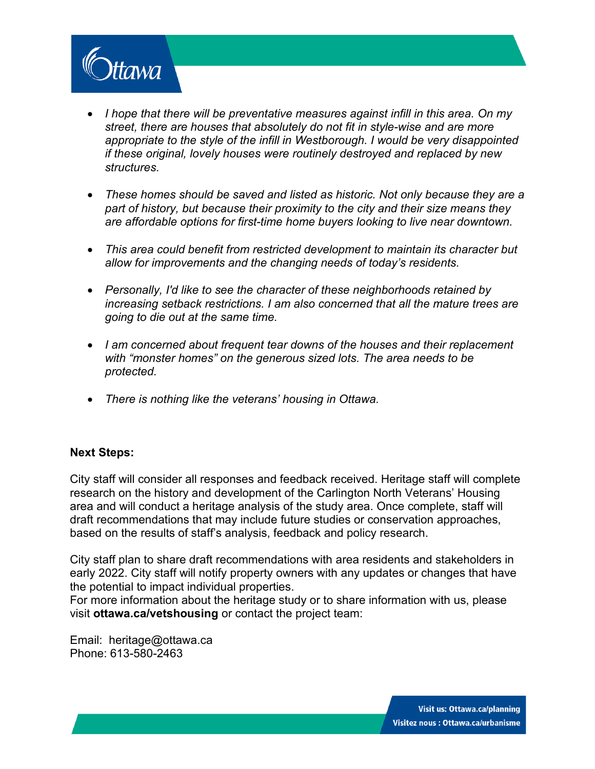

- I hope that there will be preventative measures against *infill in this area.* On my *street, there are houses that absolutely do not fit in style-wise and are more appropriate to the style of the infill in Westborough. I would be very disappointed if these original, lovely houses were routinely destroyed and replaced by new structures.*
- *These homes should be saved and listed as historic. Not only because they are a part of history, but because their proximity to the city and their size means they are affordable options for first-time home buyers looking to live near downtown.*
- *This area could benefit from restricted development to maintain its character but allow for improvements and the changing needs of today's residents.*
- *Personally, I'd like to see the character of these neighborhoods retained by increasing setback restrictions. I am also concerned that all the mature trees are going to die out at the same time.*
- *I am concerned about frequent tear downs of the houses and their replacement with "monster homes" on the generous sized lots. The area needs to be protected.*
- *There is nothing like the veterans' housing in Ottawa.*

#### **Next Steps:**

City staff will consider all responses and feedback received. Heritage staff will complete research on the history and development of the Carlington North Veterans' Housing area and will conduct a heritage analysis of the study area. Once complete, staff will draft recommendations that may include future studies or conservation approaches, based on the results of staff's analysis, feedback and policy research.

City staff plan to share draft recommendations with area residents and stakeholders in early 2022. City staff will notify property owners with any updates or changes that have the potential to impact individual properties.

For more information about the heritage study or to share information with us, please visit **[ottawa.ca/vetshousing](https://ottawa.ca/en/city-hall/public-engagement/projects/carlington-north-veterans-housing-heritage-study)** or contact the project team:

Email: [heritage@ottawa.ca](mailto:heritage@ottawa.ca) Phone: 613-580-2463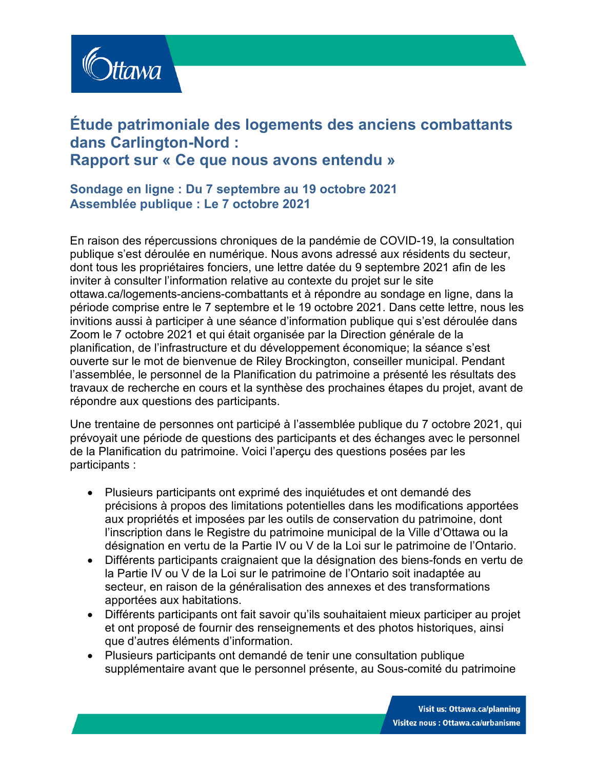

## **Étude patrimoniale des logements des anciens combattants dans Carlington-Nord : Rapport sur « Ce que nous avons entendu »**

## **Sondage en ligne : Du 7 septembre au 19 octobre 2021 Assemblée publique : Le 7 octobre 2021**

En raison des répercussions chroniques de la pandémie de COVID-19, la consultation publique s'est déroulée en numérique. Nous avons adressé aux résidents du secteur, dont tous les propriétaires fonciers, une lettre datée du 9 septembre 2021 afin de les inviter à consulter l'information relative au contexte du projet sur le site [ottawa.ca/logements-anciens-combattants](https://ottawa.ca/fr/hotel-de-ville/engagement-du-public/projets/etude-sur-le-patrimoine-des-logements-pour-anciens-combattants-carlington-nord) et à répondre au sondage en ligne, dans la période comprise entre le 7 septembre et le 19 octobre 2021. Dans cette lettre, nous les invitions aussi à participer à une séance d'information publique qui s'est déroulée dans Zoom le 7 octobre 2021 et qui était organisée par la Direction générale de la planification, de l'infrastructure et du développement économique; la séance s'est ouverte sur le mot de bienvenue de Riley Brockington, conseiller municipal. Pendant l'assemblée, le personnel de la Planification du patrimoine a présenté les résultats des travaux de recherche en cours et la synthèse des prochaines étapes du projet, avant de répondre aux questions des participants.

Une trentaine de personnes ont participé à l'assemblée publique du 7 octobre 2021, qui prévoyait une période de questions des participants et des échanges avec le personnel de la Planification du patrimoine. Voici l'aperçu des questions posées par les participants :

- Plusieurs participants ont exprimé des inquiétudes et ont demandé des précisions à propos des limitations potentielles dans les modifications apportées aux propriétés et imposées par les outils de conservation du patrimoine, dont l'inscription dans le Registre du patrimoine municipal de la Ville d'Ottawa ou la désignation en vertu de la Partie IV ou V de la Loi sur le patrimoine de l'Ontario.
- Différents participants craignaient que la désignation des biens-fonds en vertu de la Partie IV ou V de la Loi sur le patrimoine de l'Ontario soit inadaptée au secteur, en raison de la généralisation des annexes et des transformations apportées aux habitations.
- Différents participants ont fait savoir qu'ils souhaitaient mieux participer au projet et ont proposé de fournir des renseignements et des photos historiques, ainsi que d'autres éléments d'information.
- Plusieurs participants ont demandé de tenir une consultation publique supplémentaire avant que le personnel présente, au Sous-comité du patrimoine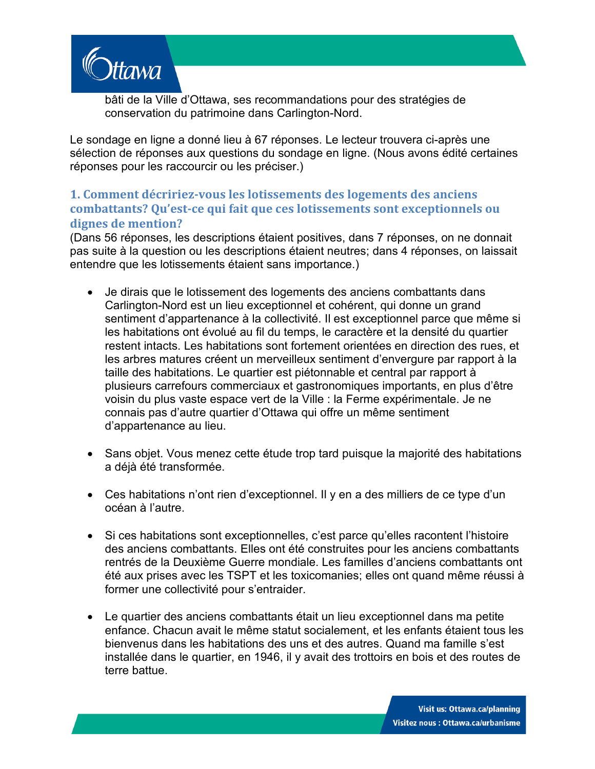

bâti de la Ville d'Ottawa, ses recommandations pour des stratégies de conservation du patrimoine dans Carlington-Nord.

Le sondage en ligne a donné lieu à 67 réponses. Le lecteur trouvera ci-après une sélection de réponses aux questions du sondage en ligne. (Nous avons édité certaines réponses pour les raccourcir ou les préciser.)

## **1. Comment décririez-vous les lotissements des logements des anciens combattants? Qu'est-ce qui fait que ces lotissements sont exceptionnels ou dignes de mention?**

(Dans 56 réponses, les descriptions étaient positives, dans 7 réponses, on ne donnait pas suite à la question ou les descriptions étaient neutres; dans 4 réponses, on laissait entendre que les lotissements étaient sans importance.)

- Je dirais que le lotissement des logements des anciens combattants dans Carlington-Nord est un lieu exceptionnel et cohérent, qui donne un grand sentiment d'appartenance à la collectivité. Il est exceptionnel parce que même si les habitations ont évolué au fil du temps, le caractère et la densité du quartier restent intacts. Les habitations sont fortement orientées en direction des rues, et les arbres matures créent un merveilleux sentiment d'envergure par rapport à la taille des habitations. Le quartier est piétonnable et central par rapport à plusieurs carrefours commerciaux et gastronomiques importants, en plus d'être voisin du plus vaste espace vert de la Ville : la Ferme expérimentale. Je ne connais pas d'autre quartier d'Ottawa qui offre un même sentiment d'appartenance au lieu.
- Sans objet. Vous menez cette étude trop tard puisque la majorité des habitations a déjà été transformée.
- Ces habitations n'ont rien d'exceptionnel. Il y en a des milliers de ce type d'un océan à l'autre.
- Si ces habitations sont exceptionnelles, c'est parce qu'elles racontent l'histoire des anciens combattants. Elles ont été construites pour les anciens combattants rentrés de la Deuxième Guerre mondiale. Les familles d'anciens combattants ont été aux prises avec les TSPT et les toxicomanies; elles ont quand même réussi à former une collectivité pour s'entraider.
- Le quartier des anciens combattants était un lieu exceptionnel dans ma petite enfance. Chacun avait le même statut socialement, et les enfants étaient tous les bienvenus dans les habitations des uns et des autres. Quand ma famille s'est installée dans le quartier, en 1946, il y avait des trottoirs en bois et des routes de terre battue.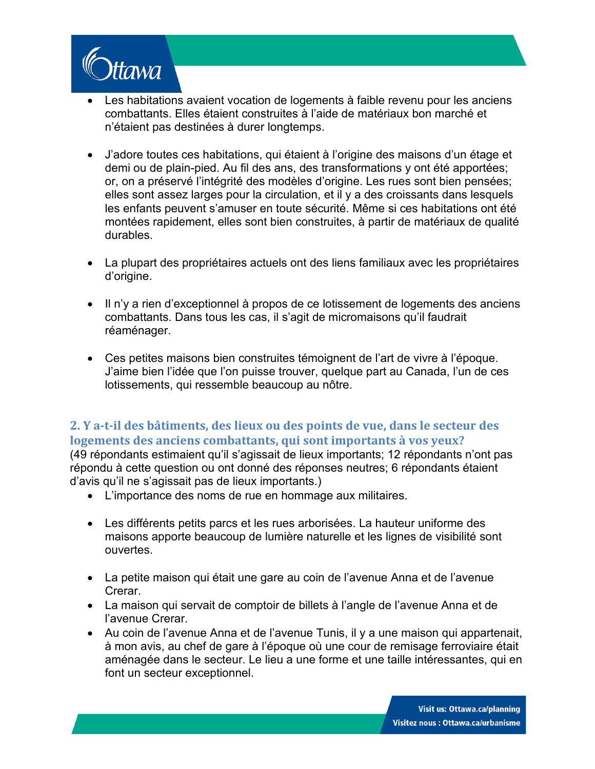

- Les habitations avaient vocation de logements à faible revenu pour les anciens combattants. Elles étaient construites à l'aide de matériaux bon marché et n'étaient pas destinées à durer longtemps.
- J'adore toutes ces habitations, qui étaient à l'origine des maisons d'un étage et demi ou de plain-pied. Au fil des ans, des transformations y ont été apportées; or, on a préservé l'intégrité des modèles d'origine. Les rues sont bien pensées; elles sont assez larges pour la circulation, et il y a des croissants dans lesquels les enfants peuvent s'amuser en toute sécurité. Même si ces habitations ont été montées rapidement, elles sont bien construites, à partir de matériaux de qualité durables.
- La plupart des propriétaires actuels ont des liens familiaux avec les propriétaires d'origine.
- Il n'y a rien d'exceptionnel à propos de ce lotissement de logements des anciens combattants. Dans tous les cas, il s'agit de micromaisons qu'il faudrait réaménager.
- Ces petites maisons bien construites témoignent de l'art de vivre à l'époque. J'aime bien l'idée que l'on puisse trouver, quelque part au Canada, l'un de ces lotissements, qui ressemble beaucoup au nôtre.

## **2. Y a-t-il des bâtiments, des lieux ou des points de vue, dans le secteur des logements des anciens combattants, qui sont importants à vos yeux?**

(49 répondants estimaient qu'il s'agissait de lieux importants; 12 répondants n'ont pas répondu à cette question ou ont donné des réponses neutres; 6 répondants étaient d'avis qu'il ne s'agissait pas de lieux importants.)

- L'importance des noms de rue en hommage aux militaires.
- Les différents petits parcs et les rues arborisées. La hauteur uniforme des maisons apporte beaucoup de lumière naturelle et les lignes de visibilité sont ouvertes.
- La petite maison qui était une gare au coin de l'avenue Anna et de l'avenue Crerar.
- La maison qui servait de comptoir de billets à l'angle de l'avenue Anna et de l'avenue Crerar.
- Au coin de l'avenue Anna et de l'avenue Tunis, il y a une maison qui appartenait, à mon avis, au chef de gare à l'époque où une cour de remisage ferroviaire était aménagée dans le secteur. Le lieu a une forme et une taille intéressantes, qui en font un secteur exceptionnel.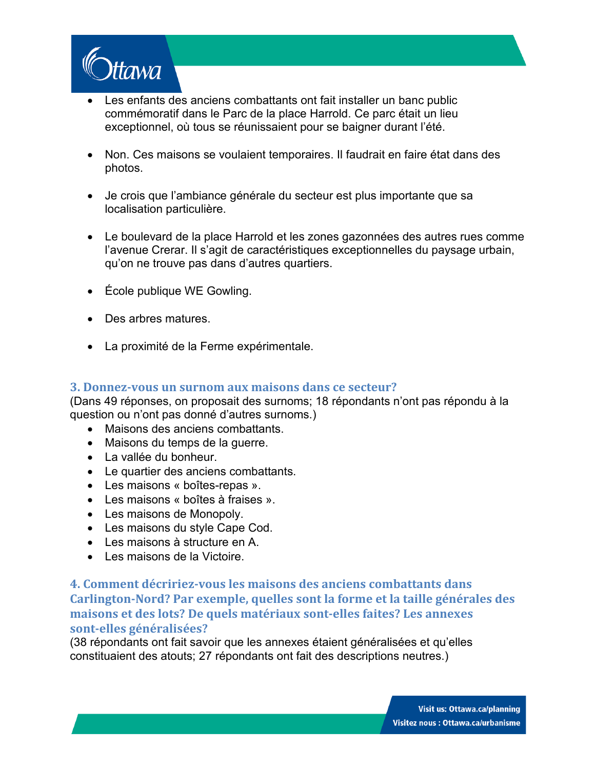

- Les enfants des anciens combattants ont fait installer un banc public commémoratif dans le Parc de la place Harrold. Ce parc était un lieu exceptionnel, où tous se réunissaient pour se baigner durant l'été.
- Non. Ces maisons se voulaient temporaires. Il faudrait en faire état dans des photos.
- Je crois que l'ambiance générale du secteur est plus importante que sa localisation particulière.
- Le boulevard de la place Harrold et les zones gazonnées des autres rues comme l'avenue Crerar. Il s'agit de caractéristiques exceptionnelles du paysage urbain, qu'on ne trouve pas dans d'autres quartiers.
- École publique WE Gowling.
- Des arbres matures.
- La proximité de la Ferme expérimentale.

#### **3. Donnez-vous un surnom aux maisons dans ce secteur?**

(Dans 49 réponses, on proposait des surnoms; 18 répondants n'ont pas répondu à la question ou n'ont pas donné d'autres surnoms.)

- Maisons des anciens combattants.
- Maisons du temps de la guerre.
- La vallée du bonheur.
- Le quartier des anciens combattants.
- Les maisons « boîtes-repas ».
- Les maisons « boîtes à fraises ».
- Les maisons de Monopoly.
- Les maisons du style Cape Cod.
- Les maisons à structure en A.
- Les maisons de la Victoire.

## **4. Comment décririez-vous les maisons des anciens combattants dans Carlington-Nord? Par exemple, quelles sont la forme et la taille générales des maisons et des lots? De quels matériaux sont-elles faites? Les annexes sont-elles généralisées?**

(38 répondants ont fait savoir que les annexes étaient généralisées et qu'elles constituaient des atouts; 27 répondants ont fait des descriptions neutres.)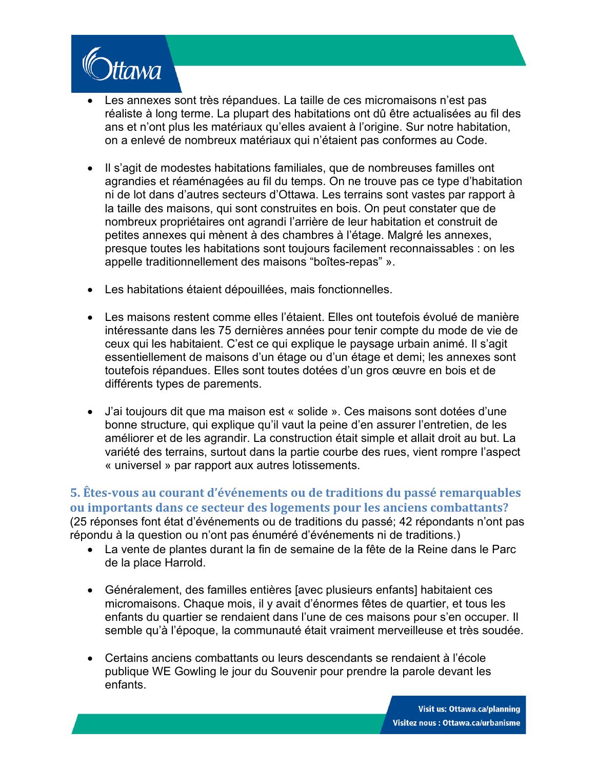

- Les annexes sont très répandues. La taille de ces micromaisons n'est pas réaliste à long terme. La plupart des habitations ont dû être actualisées au fil des ans et n'ont plus les matériaux qu'elles avaient à l'origine. Sur notre habitation, on a enlevé de nombreux matériaux qui n'étaient pas conformes au Code.
- Il s'agit de modestes habitations familiales, que de nombreuses familles ont agrandies et réaménagées au fil du temps. On ne trouve pas ce type d'habitation ni de lot dans d'autres secteurs d'Ottawa. Les terrains sont vastes par rapport à la taille des maisons, qui sont construites en bois. On peut constater que de nombreux propriétaires ont agrandi l'arrière de leur habitation et construit de petites annexes qui mènent à des chambres à l'étage. Malgré les annexes, presque toutes les habitations sont toujours facilement reconnaissables : on les appelle traditionnellement des maisons "boîtes-repas" ».
- Les habitations étaient dépouillées, mais fonctionnelles.
- Les maisons restent comme elles l'étaient. Elles ont toutefois évolué de manière intéressante dans les 75 dernières années pour tenir compte du mode de vie de ceux qui les habitaient. C'est ce qui explique le paysage urbain animé. Il s'agit essentiellement de maisons d'un étage ou d'un étage et demi; les annexes sont toutefois répandues. Elles sont toutes dotées d'un gros œuvre en bois et de différents types de parements.
- J'ai toujours dit que ma maison est « solide ». Ces maisons sont dotées d'une bonne structure, qui explique qu'il vaut la peine d'en assurer l'entretien, de les améliorer et de les agrandir. La construction était simple et allait droit au but. La variété des terrains, surtout dans la partie courbe des rues, vient rompre l'aspect « universel » par rapport aux autres lotissements.

**5. Êtes-vous au courant d'événements ou de traditions du passé remarquables ou importants dans ce secteur des logements pour les anciens combattants?** (25 réponses font état d'événements ou de traditions du passé; 42 répondants n'ont pas répondu à la question ou n'ont pas énuméré d'événements ni de traditions.)

- La vente de plantes durant la fin de semaine de la fête de la Reine dans le Parc de la place Harrold.
- Généralement, des familles entières [avec plusieurs enfants] habitaient ces micromaisons. Chaque mois, il y avait d'énormes fêtes de quartier, et tous les enfants du quartier se rendaient dans l'une de ces maisons pour s'en occuper. Il semble qu'à l'époque, la communauté était vraiment merveilleuse et très soudée.
- Certains anciens combattants ou leurs descendants se rendaient à l'école publique WE Gowling le jour du Souvenir pour prendre la parole devant les enfants.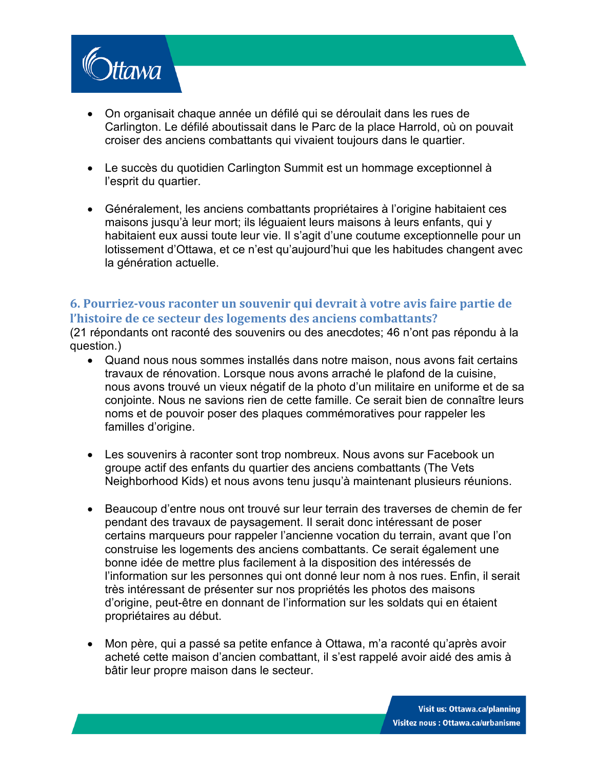

- On organisait chaque année un défilé qui se déroulait dans les rues de Carlington. Le défilé aboutissait dans le Parc de la place Harrold, où on pouvait croiser des anciens combattants qui vivaient toujours dans le quartier.
- Le succès du quotidien Carlington Summit est un hommage exceptionnel à l'esprit du quartier.
- Généralement, les anciens combattants propriétaires à l'origine habitaient ces maisons jusqu'à leur mort; ils léguaient leurs maisons à leurs enfants, qui y habitaient eux aussi toute leur vie. Il s'agit d'une coutume exceptionnelle pour un lotissement d'Ottawa, et ce n'est qu'aujourd'hui que les habitudes changent avec la génération actuelle.

#### **6. Pourriez-vous raconter un souvenir qui devrait à votre avis faire partie de l'histoire de ce secteur des logements des anciens combattants?**

(21 répondants ont raconté des souvenirs ou des anecdotes; 46 n'ont pas répondu à la question.)

- Quand nous nous sommes installés dans notre maison, nous avons fait certains travaux de rénovation. Lorsque nous avons arraché le plafond de la cuisine, nous avons trouvé un vieux négatif de la photo d'un militaire en uniforme et de sa conjointe. Nous ne savions rien de cette famille. Ce serait bien de connaître leurs noms et de pouvoir poser des plaques commémoratives pour rappeler les familles d'origine.
- Les souvenirs à raconter sont trop nombreux. Nous avons sur Facebook un groupe actif des enfants du quartier des anciens combattants (The Vets Neighborhood Kids) et nous avons tenu jusqu'à maintenant plusieurs réunions.
- Beaucoup d'entre nous ont trouvé sur leur terrain des traverses de chemin de fer pendant des travaux de paysagement. Il serait donc intéressant de poser certains marqueurs pour rappeler l'ancienne vocation du terrain, avant que l'on construise les logements des anciens combattants. Ce serait également une bonne idée de mettre plus facilement à la disposition des intéressés de l'information sur les personnes qui ont donné leur nom à nos rues. Enfin, il serait très intéressant de présenter sur nos propriétés les photos des maisons d'origine, peut-être en donnant de l'information sur les soldats qui en étaient propriétaires au début.
- Mon père, qui a passé sa petite enfance à Ottawa, m'a raconté qu'après avoir acheté cette maison d'ancien combattant, il s'est rappelé avoir aidé des amis à bâtir leur propre maison dans le secteur.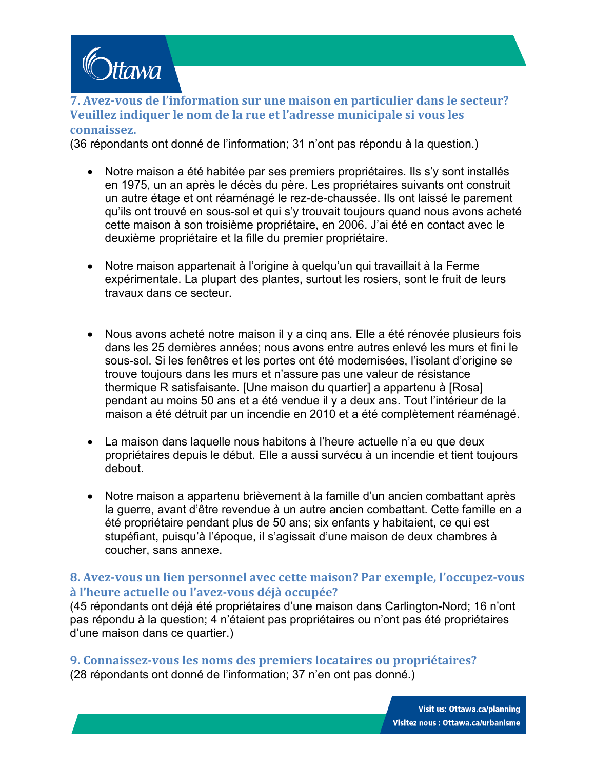

#### **7. Avez-vous de l'information sur une maison en particulier dans le secteur? Veuillez indiquer le nom de la rue et l'adresse municipale si vous les connaissez.**

(36 répondants ont donné de l'information; 31 n'ont pas répondu à la question.)

- Notre maison a été habitée par ses premiers propriétaires. Ils s'y sont installés en 1975, un an après le décès du père. Les propriétaires suivants ont construit un autre étage et ont réaménagé le rez-de-chaussée. Ils ont laissé le parement qu'ils ont trouvé en sous-sol et qui s'y trouvait toujours quand nous avons acheté cette maison à son troisième propriétaire, en 2006. J'ai été en contact avec le deuxième propriétaire et la fille du premier propriétaire.
- Notre maison appartenait à l'origine à quelqu'un qui travaillait à la Ferme expérimentale. La plupart des plantes, surtout les rosiers, sont le fruit de leurs travaux dans ce secteur.
- Nous avons acheté notre maison il y a cinq ans. Elle a été rénovée plusieurs fois dans les 25 dernières années; nous avons entre autres enlevé les murs et fini le sous-sol. Si les fenêtres et les portes ont été modernisées, l'isolant d'origine se trouve toujours dans les murs et n'assure pas une valeur de résistance thermique R satisfaisante. [Une maison du quartier] a appartenu à [Rosa] pendant au moins 50 ans et a été vendue il y a deux ans. Tout l'intérieur de la maison a été détruit par un incendie en 2010 et a été complètement réaménagé.
- La maison dans laquelle nous habitons à l'heure actuelle n'a eu que deux propriétaires depuis le début. Elle a aussi survécu à un incendie et tient toujours debout.
- Notre maison a appartenu brièvement à la famille d'un ancien combattant après la guerre, avant d'être revendue à un autre ancien combattant. Cette famille en a été propriétaire pendant plus de 50 ans; six enfants y habitaient, ce qui est stupéfiant, puisqu'à l'époque, il s'agissait d'une maison de deux chambres à coucher, sans annexe.

#### **8. Avez-vous un lien personnel avec cette maison? Par exemple, l'occupez-vous à l'heure actuelle ou l'avez-vous déjà occupée?**

(45 répondants ont déjà été propriétaires d'une maison dans Carlington-Nord; 16 n'ont pas répondu à la question; 4 n'étaient pas propriétaires ou n'ont pas été propriétaires d'une maison dans ce quartier.)

#### **9. Connaissez-vous les noms des premiers locataires ou propriétaires?**

(28 répondants ont donné de l'information; 37 n'en ont pas donné.)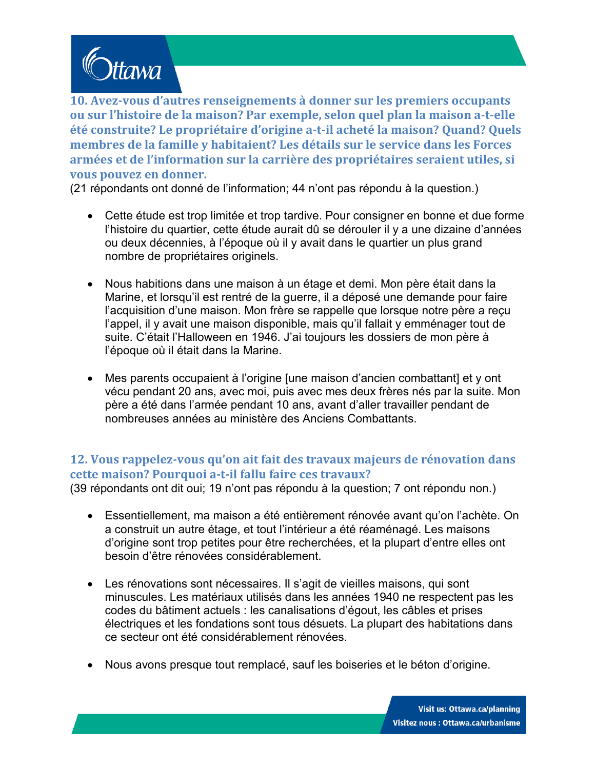

**10. Avez-vous d'autres renseignements à donner sur les premiers occupants ou sur l'histoire de la maison? Par exemple, selon quel plan la maison a-t-elle été construite? Le propriétaire d'origine a-t-il acheté la maison? Quand? Quels membres de la famille y habitaient? Les détails sur le service dans les Forces armées et de l'information sur la carrière des propriétaires seraient utiles, si vous pouvez en donner.**

(21 répondants ont donné de l'information; 44 n'ont pas répondu à la question.)

- Cette étude est trop limitée et trop tardive. Pour consigner en bonne et due forme l'histoire du quartier, cette étude aurait dû se dérouler il y a une dizaine d'années ou deux décennies, à l'époque où il y avait dans le quartier un plus grand nombre de propriétaires originels.
- Nous habitions dans une maison à un étage et demi. Mon père était dans la Marine, et lorsqu'il est rentré de la guerre, il a déposé une demande pour faire l'acquisition d'une maison. Mon frère se rappelle que lorsque notre père a reçu l'appel, il y avait une maison disponible, mais qu'il fallait y emménager tout de suite. C'était l'Halloween en 1946. J'ai toujours les dossiers de mon père à l'époque où il était dans la Marine.
- Mes parents occupaient à l'origine [une maison d'ancien combattant] et y ont vécu pendant 20 ans, avec moi, puis avec mes deux frères nés par la suite. Mon père a été dans l'armée pendant 10 ans, avant d'aller travailler pendant de nombreuses années au ministère des Anciens Combattants.

## **12. Vous rappelez-vous qu'on ait fait des travaux majeurs de rénovation dans cette maison? Pourquoi a-t-il fallu faire ces travaux?**

(39 répondants ont dit oui; 19 n'ont pas répondu à la question; 7 ont répondu non.)

- Essentiellement, ma maison a été entièrement rénovée avant qu'on l'achète. On a construit un autre étage, et tout l'intérieur a été réaménagé. Les maisons d'origine sont trop petites pour être recherchées, et la plupart d'entre elles ont besoin d'être rénovées considérablement.
- Les rénovations sont nécessaires. Il s'agit de vieilles maisons, qui sont minuscules. Les matériaux utilisés dans les années 1940 ne respectent pas les codes du bâtiment actuels : les canalisations d'égout, les câbles et prises électriques et les fondations sont tous désuets. La plupart des habitations dans ce secteur ont été considérablement rénovées.
- Nous avons presque tout remplacé, sauf les boiseries et le béton d'origine.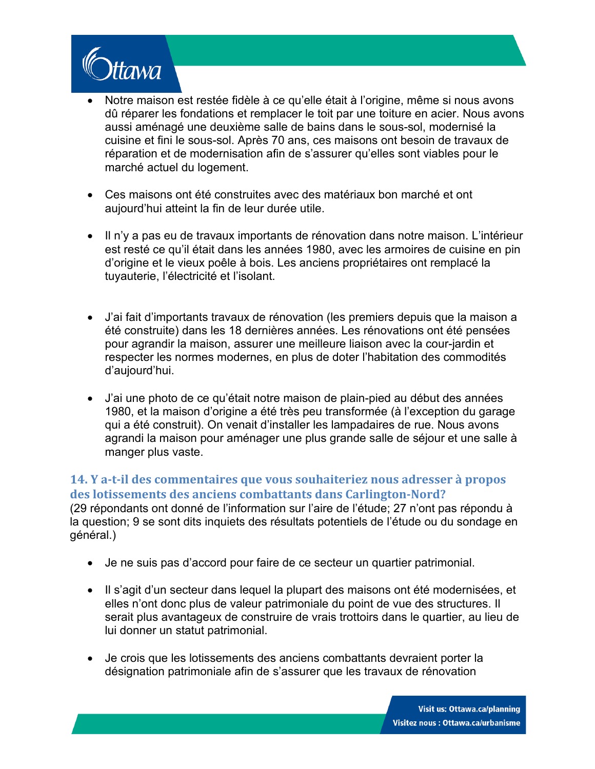

- Notre maison est restée fidèle à ce qu'elle était à l'origine, même si nous avons dû réparer les fondations et remplacer le toit par une toiture en acier. Nous avons aussi aménagé une deuxième salle de bains dans le sous-sol, modernisé la cuisine et fini le sous-sol. Après 70 ans, ces maisons ont besoin de travaux de réparation et de modernisation afin de s'assurer qu'elles sont viables pour le marché actuel du logement.
- Ces maisons ont été construites avec des matériaux bon marché et ont aujourd'hui atteint la fin de leur durée utile.
- Il n'y a pas eu de travaux importants de rénovation dans notre maison. L'intérieur est resté ce qu'il était dans les années 1980, avec les armoires de cuisine en pin d'origine et le vieux poêle à bois. Les anciens propriétaires ont remplacé la tuyauterie, l'électricité et l'isolant.
- J'ai fait d'importants travaux de rénovation (les premiers depuis que la maison a été construite) dans les 18 dernières années. Les rénovations ont été pensées pour agrandir la maison, assurer une meilleure liaison avec la cour-jardin et respecter les normes modernes, en plus de doter l'habitation des commodités d'aujourd'hui.
- J'ai une photo de ce qu'était notre maison de plain-pied au début des années 1980, et la maison d'origine a été très peu transformée (à l'exception du garage qui a été construit). On venait d'installer les lampadaires de rue. Nous avons agrandi la maison pour aménager une plus grande salle de séjour et une salle à manger plus vaste.

## **14. Y a-t-il des commentaires que vous souhaiteriez nous adresser à propos des lotissements des anciens combattants dans Carlington-Nord?**

(29 répondants ont donné de l'information sur l'aire de l'étude; 27 n'ont pas répondu à la question; 9 se sont dits inquiets des résultats potentiels de l'étude ou du sondage en général.)

- Je ne suis pas d'accord pour faire de ce secteur un quartier patrimonial.
- Il s'agit d'un secteur dans lequel la plupart des maisons ont été modernisées, et elles n'ont donc plus de valeur patrimoniale du point de vue des structures. Il serait plus avantageux de construire de vrais trottoirs dans le quartier, au lieu de lui donner un statut patrimonial.
- Je crois que les lotissements des anciens combattants devraient porter la désignation patrimoniale afin de s'assurer que les travaux de rénovation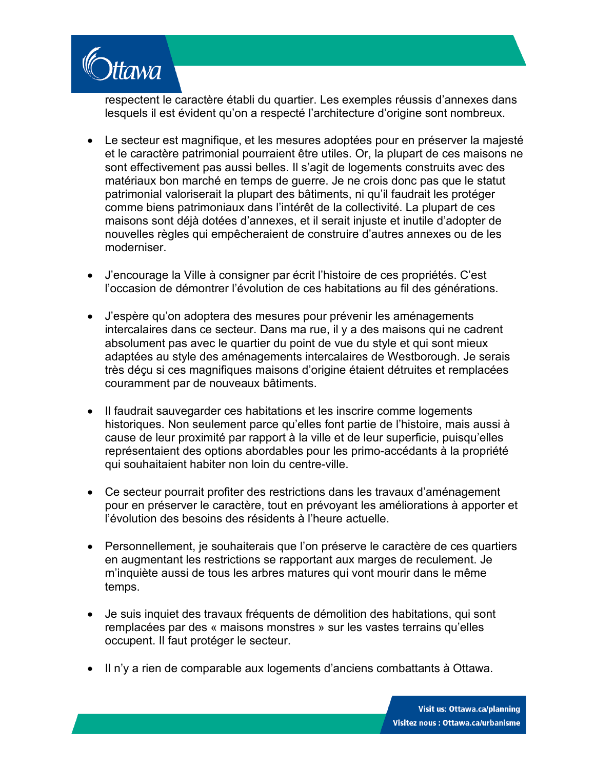

respectent le caractère établi du quartier. Les exemples réussis d'annexes dans lesquels il est évident qu'on a respecté l'architecture d'origine sont nombreux.

- Le secteur est magnifique, et les mesures adoptées pour en préserver la majesté et le caractère patrimonial pourraient être utiles. Or, la plupart de ces maisons ne sont effectivement pas aussi belles. Il s'agit de logements construits avec des matériaux bon marché en temps de guerre. Je ne crois donc pas que le statut patrimonial valoriserait la plupart des bâtiments, ni qu'il faudrait les protéger comme biens patrimoniaux dans l'intérêt de la collectivité. La plupart de ces maisons sont déjà dotées d'annexes, et il serait injuste et inutile d'adopter de nouvelles règles qui empêcheraient de construire d'autres annexes ou de les moderniser.
- J'encourage la Ville à consigner par écrit l'histoire de ces propriétés. C'est l'occasion de démontrer l'évolution de ces habitations au fil des générations.
- J'espère qu'on adoptera des mesures pour prévenir les aménagements intercalaires dans ce secteur. Dans ma rue, il y a des maisons qui ne cadrent absolument pas avec le quartier du point de vue du style et qui sont mieux adaptées au style des aménagements intercalaires de Westborough. Je serais très déçu si ces magnifiques maisons d'origine étaient détruites et remplacées couramment par de nouveaux bâtiments.
- Il faudrait sauvegarder ces habitations et les inscrire comme logements historiques. Non seulement parce qu'elles font partie de l'histoire, mais aussi à cause de leur proximité par rapport à la ville et de leur superficie, puisqu'elles représentaient des options abordables pour les primo-accédants à la propriété qui souhaitaient habiter non loin du centre-ville.
- Ce secteur pourrait profiter des restrictions dans les travaux d'aménagement pour en préserver le caractère, tout en prévoyant les améliorations à apporter et l'évolution des besoins des résidents à l'heure actuelle.
- Personnellement, je souhaiterais que l'on préserve le caractère de ces quartiers en augmentant les restrictions se rapportant aux marges de reculement. Je m'inquiète aussi de tous les arbres matures qui vont mourir dans le même temps.
- Je suis inquiet des travaux fréquents de démolition des habitations, qui sont remplacées par des « maisons monstres » sur les vastes terrains qu'elles occupent. Il faut protéger le secteur.
- Il n'y a rien de comparable aux logements d'anciens combattants à Ottawa.